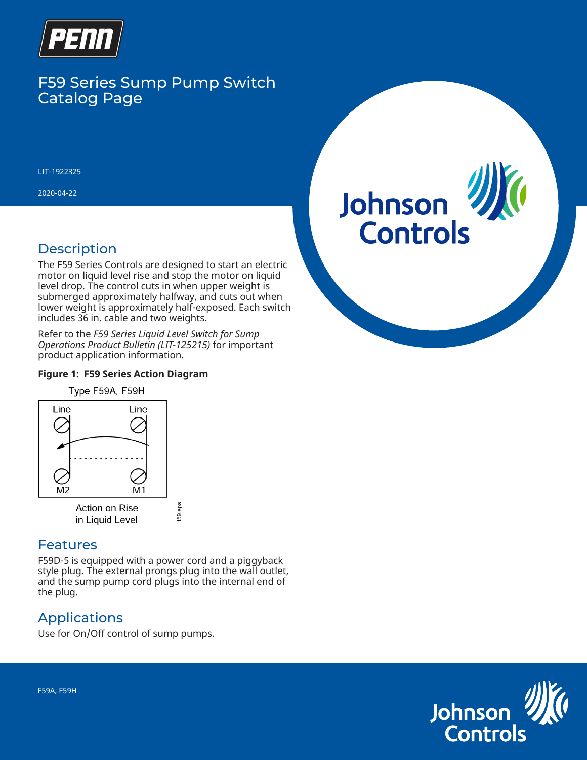

# F59 Series Sump Pump Switch Catalog Page

LIT-1922325

2020-04-22

## **Description**

The F59 Series Controls are designed to start an electric motor on liquid level rise and stop the motor on liquid level drop. The control cuts in when upper weight is submerged approximately halfway, and cuts out when lower weight is approximately half-exposed. Each switch includes 36 in. cable and two weights.

Refer to the *F59 Series Liquid Level Switch for Sump Operations Product Bulletin (LIT-125215)* for important product application information.

#### **Figure 1: F59 Series Action Diagram**



in Liquid Level

#### **Features**

F59D-5 is equipped with a power cord and a piggyback style plug. The external prongs plug into the wall outlet, and the sump pump cord plugs into the internal end of the plug.

f59.eps

## Applications

Use for On/Off control of sump pumps.

# Johnson **Controls**